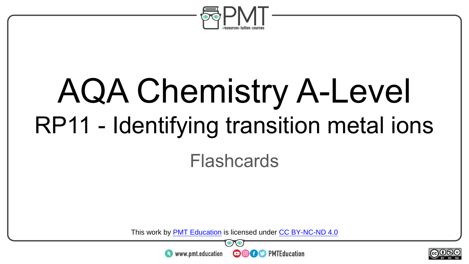

# AQA Chemistry A-Level RP11 - Identifying transition metal ions

#### Flashcards

This work by <u>PMT Education</u> is licensed under CC BY-NC-ND 4.0<br>
www.pmt.education **in the COOC** PMTEducation



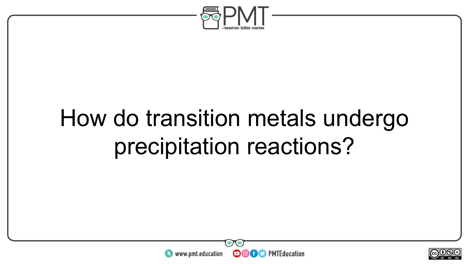

### How do transition metals undergo precipitation reactions?



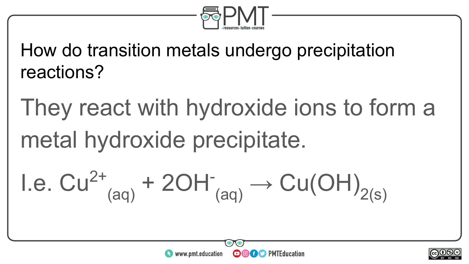

How do transition metals undergo precipitation reactions?

They react with hydroxide ions to form a metal hydroxide precipitate.

I.e. 
$$
Cu^{2+}_{(aq)} + 2OH^-_{(aq)} \rightarrow Cu(OH)_{2(s)}
$$



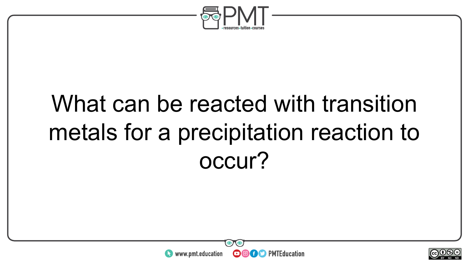

## What can be reacted with transition metals for a precipitation reaction to occur?



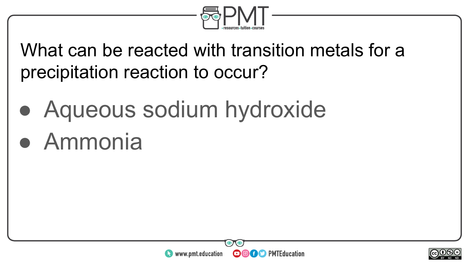

What can be reacted with transition metals for a precipitation reaction to occur?

● Aqueous sodium hydroxide

### ● Ammonia



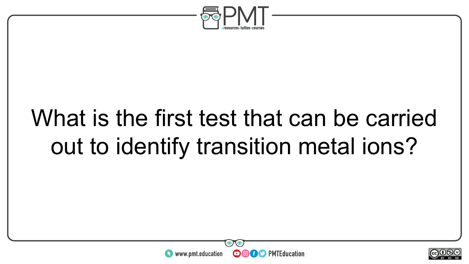

## What is the first test that can be carried out to identify transition metal ions?



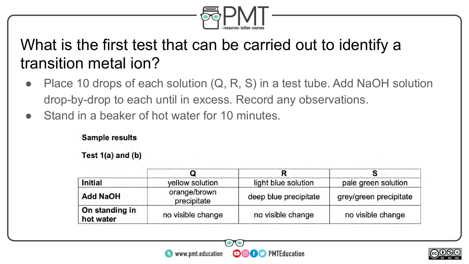

#### What is the first test that can be carried out to identify a transition metal ion?

- Place 10 drops of each solution  $(Q, R, S)$  in a test tube. Add NaOH solution drop-by-drop to each until in excess. Record any observations.
- Stand in a beaker of hot water for 10 minutes.

#### **Sample results**

Test  $1(a)$  and  $(b)$ 

| Initial                     | yellow solution             | light blue solution   | pale green solution    |
|-----------------------------|-----------------------------|-----------------------|------------------------|
| <b>Add NaOH</b>             | orange/brown<br>precipitate | deep blue precipitate | grey/green precipitate |
| On standing in<br>hot water | no visible change           | no visible change     | no visible change      |



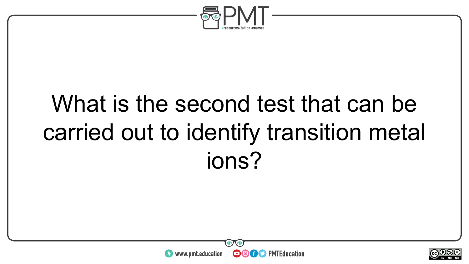

## What is the second test that can be carried out to identify transition metal ions?



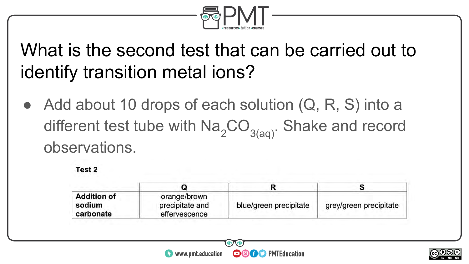

### What is the second test that can be carried out to identify transition metal ions?

Add about 10 drops of each solution  $(Q, R, S)$  into a different test tube with  $\text{Na}_{2} \text{CO}_{3(\text{aa})}$ . Shake and record observations.



| <b>Addition of</b><br>sodium<br>carbonate | orange/brown<br>precipitate and<br>effervescence | blue/green precipitate | grey/green precipitate |
|-------------------------------------------|--------------------------------------------------|------------------------|------------------------|



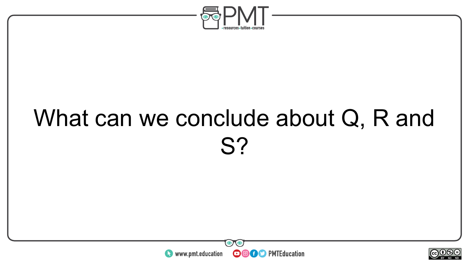

## What can we conclude about Q, R and S?